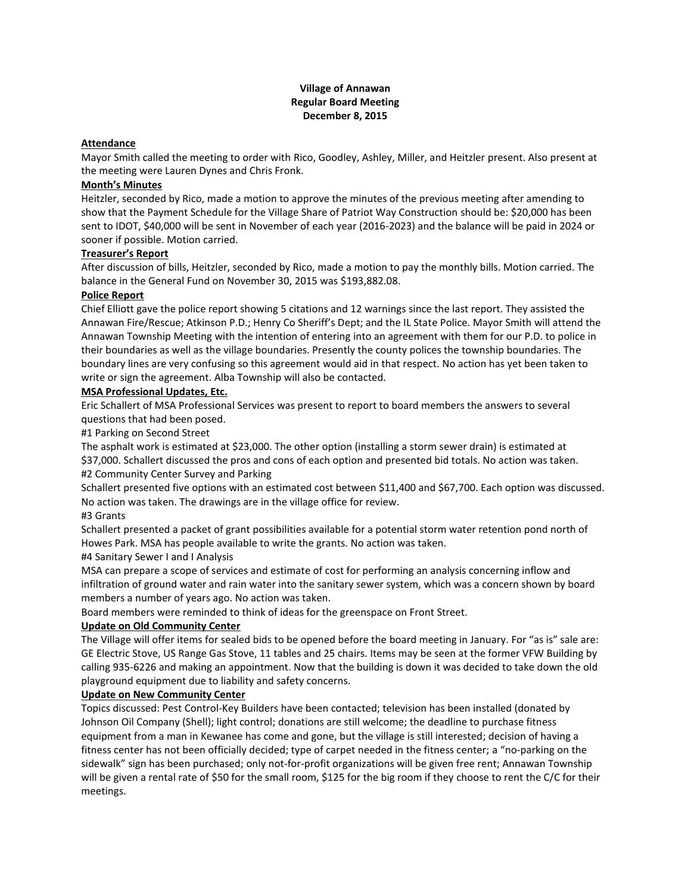# **Village of Annawan Regular Board Meeting December 8, 2015**

## **Attendance**

Mayor Smith called the meeting to order with Rico, Goodley, Ashley, Miller, and Heitzler present. Also present at the meeting were Lauren Dynes and Chris Fronk.

## **Month's Minutes**

Heitzler, seconded by Rico, made a motion to approve the minutes of the previous meeting after amending to show that the Payment Schedule for the Village Share of Patriot Way Construction should be: \$20,000 has been sent to IDOT, \$40,000 will be sent in November of each year (2016-2023) and the balance will be paid in 2024 or sooner if possible. Motion carried.

#### **Treasurer's Report**

After discussion of bills, Heitzler, seconded by Rico, made a motion to pay the monthly bills. Motion carried. The balance in the General Fund on November 30, 2015 was \$193,882.08.

#### **Police Report**

Chief Elliott gave the police report showing 5 citations and 12 warnings since the last report. They assisted the Annawan Fire/Rescue; Atkinson P.D.; Henry Co Sheriff's Dept; and the IL State Police. Mayor Smith will attend the Annawan Township Meeting with the intention of entering into an agreement with them for our P.D. to police in their boundaries as well as the village boundaries. Presently the county polices the township boundaries. The boundary lines are very confusing so this agreement would aid in that respect. No action has yet been taken to write or sign the agreement. Alba Township will also be contacted.

#### **MSA Professional Updates, Etc.**

Eric Schallert of MSA Professional Services was present to report to board members the answers to several questions that had been posed.

#1 Parking on Second Street

The asphalt work is estimated at \$23,000. The other option (installing a storm sewer drain) is estimated at \$37,000. Schallert discussed the pros and cons of each option and presented bid totals. No action was taken. #2 Community Center Survey and Parking

Schallert presented five options with an estimated cost between \$11,400 and \$67,700. Each option was discussed. No action was taken. The drawings are in the village office for review.

## #3 Grants

Schallert presented a packet of grant possibilities available for a potential storm water retention pond north of Howes Park. MSA has people available to write the grants. No action was taken.

## #4 Sanitary Sewer I and I Analysis

MSA can prepare a scope of services and estimate of cost for performing an analysis concerning inflow and infiltration of ground water and rain water into the sanitary sewer system, which was a concern shown by board members a number of years ago. No action was taken.

Board members were reminded to think of ideas for the greenspace on Front Street.

## **Update on Old Community Center**

The Village will offer items for sealed bids to be opened before the board meeting in January. For "as is" sale are: GE Electric Stove, US Range Gas Stove, 11 tables and 25 chairs. Items may be seen at the former VFW Building by calling 935-6226 and making an appointment. Now that the building is down it was decided to take down the old playground equipment due to liability and safety concerns.

## **Update on New Community Center**

Topics discussed: Pest Control-Key Builders have been contacted; television has been installed (donated by Johnson Oil Company (Shell); light control; donations are still welcome; the deadline to purchase fitness equipment from a man in Kewanee has come and gone, but the village is still interested; decision of having a fitness center has not been officially decided; type of carpet needed in the fitness center; a "no-parking on the sidewalk" sign has been purchased; only not-for-profit organizations will be given free rent; Annawan Township will be given a rental rate of \$50 for the small room, \$125 for the big room if they choose to rent the C/C for their meetings.